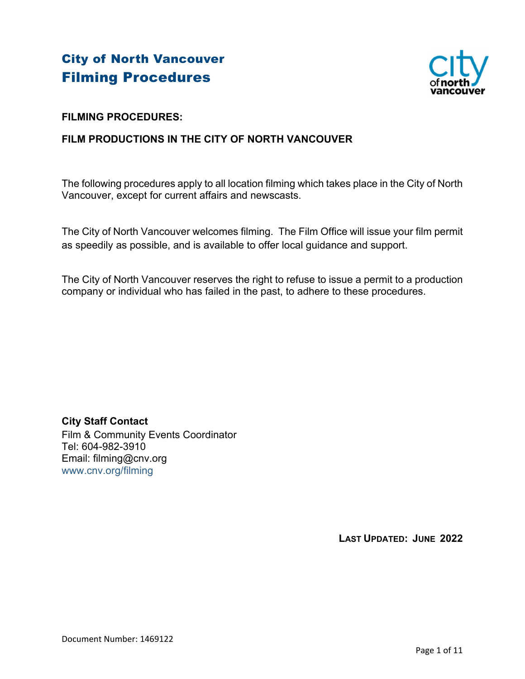# City of North Vancouver Filming Procedures



# **FILMING PROCEDURES:**

# **FILM PRODUCTIONS IN THE CITY OF NORTH VANCOUVER**

The following procedures apply to all location filming which takes place in the City of North Vancouver, except for current affairs and newscasts.

The City of North Vancouver welcomes filming. The Film Office will issue your film permit as speedily as possible, and is available to offer local guidance and support.

The City of North Vancouver reserves the right to refuse to issue a permit to a production company or individual who has failed in the past, to adhere to these procedures.

**City Staff Contact**  Film & Community Events Coordinator Tel: 604-982-3910 Email: filming@cnv.org www.cnv.org/filming

**LAST UPDATED: JUNE 2022**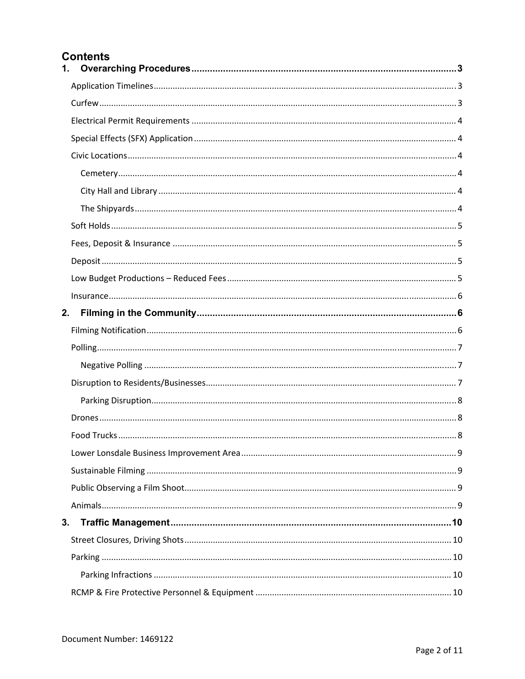# **Contents**

| $\mathbf{1}$ . |  |
|----------------|--|
|                |  |
|                |  |
|                |  |
|                |  |
|                |  |
|                |  |
|                |  |
|                |  |
|                |  |
|                |  |
|                |  |
|                |  |
|                |  |
| 2.             |  |
|                |  |
|                |  |
|                |  |
|                |  |
|                |  |
|                |  |
|                |  |
|                |  |
|                |  |
|                |  |
|                |  |
| 3.             |  |
|                |  |
|                |  |
|                |  |
|                |  |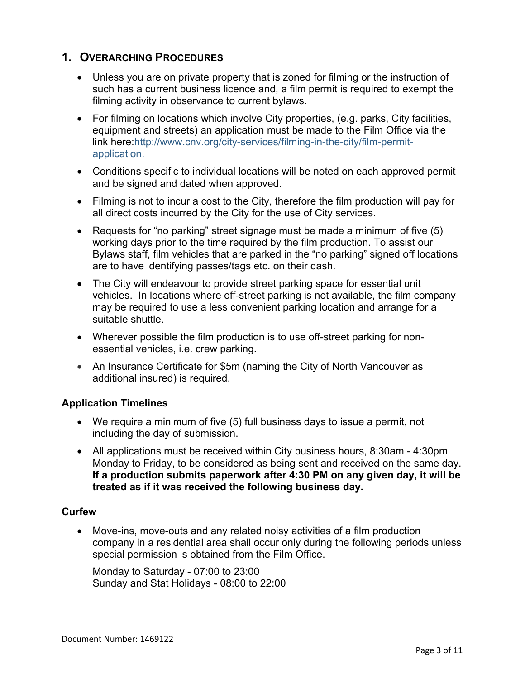# **1. OVERARCHING PROCEDURES**

- Unless you are on private property that is zoned for filming or the instruction of such has a current business licence and, a film permit is required to exempt the filming activity in observance to current bylaws.
- For filming on locations which involve City properties, (e.g. parks, City facilities, equipment and streets) an application must be made to the Film Office via the link here:http://www.cnv.org/city-services/filming-in-the-city/film-permitapplication.
- Conditions specific to individual locations will be noted on each approved permit and be signed and dated when approved.
- Filming is not to incur a cost to the City, therefore the film production will pay for all direct costs incurred by the City for the use of City services.
- Requests for "no parking" street signage must be made a minimum of five (5) working days prior to the time required by the film production. To assist our Bylaws staff, film vehicles that are parked in the "no parking" signed off locations are to have identifying passes/tags etc. on their dash.
- The City will endeavour to provide street parking space for essential unit vehicles. In locations where off-street parking is not available, the film company may be required to use a less convenient parking location and arrange for a suitable shuttle.
- Wherever possible the film production is to use off-street parking for nonessential vehicles, i.e. crew parking.
- An Insurance Certificate for \$5m (naming the City of North Vancouver as additional insured) is required.

# **Application Timelines**

- We require a minimum of five (5) full business days to issue a permit, not including the day of submission.
- All applications must be received within City business hours, 8:30am 4:30pm Monday to Friday, to be considered as being sent and received on the same day. **If a production submits paperwork after 4:30 PM on any given day, it will be treated as if it was received the following business day.**

## **Curfew**

 Move-ins, move-outs and any related noisy activities of a film production company in a residential area shall occur only during the following periods unless special permission is obtained from the Film Office.

Monday to Saturday - 07:00 to 23:00 Sunday and Stat Holidays - 08:00 to 22:00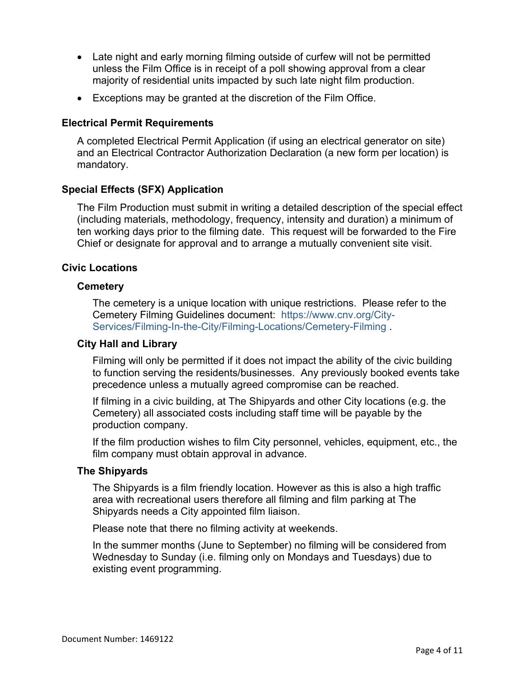- Late night and early morning filming outside of curfew will not be permitted unless the Film Office is in receipt of a poll showing approval from a clear majority of residential units impacted by such late night film production.
- Exceptions may be granted at the discretion of the Film Office.

## **Electrical Permit Requirements**

A completed Electrical Permit Application (if using an electrical generator on site) and an Electrical Contractor Authorization Declaration (a new form per location) is mandatory.

## **Special Effects (SFX) Application**

The Film Production must submit in writing a detailed description of the special effect (including materials, methodology, frequency, intensity and duration) a minimum of ten working days prior to the filming date. This request will be forwarded to the Fire Chief or designate for approval and to arrange a mutually convenient site visit.

## **Civic Locations**

## **Cemetery**

The cemetery is a unique location with unique restrictions. Please refer to the Cemetery Filming Guidelines document: https://www.cnv.org/City-Services/Filming-In-the-City/Filming-Locations/Cemetery-Filming .

## **City Hall and Library**

Filming will only be permitted if it does not impact the ability of the civic building to function serving the residents/businesses. Any previously booked events take precedence unless a mutually agreed compromise can be reached.

If filming in a civic building, at The Shipyards and other City locations (e.g. the Cemetery) all associated costs including staff time will be payable by the production company.

If the film production wishes to film City personnel, vehicles, equipment, etc., the film company must obtain approval in advance.

## **The Shipyards**

The Shipyards is a film friendly location. However as this is also a high traffic area with recreational users therefore all filming and film parking at The Shipyards needs a City appointed film liaison.

Please note that there no filming activity at weekends.

In the summer months (June to September) no filming will be considered from Wednesday to Sunday (i.e. filming only on Mondays and Tuesdays) due to existing event programming.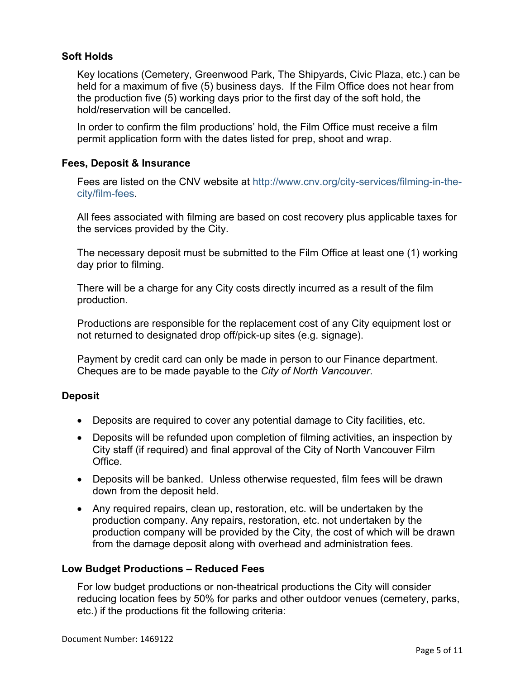## **Soft Holds**

Key locations (Cemetery, Greenwood Park, The Shipyards, Civic Plaza, etc.) can be held for a maximum of five (5) business days. If the Film Office does not hear from the production five (5) working days prior to the first day of the soft hold, the hold/reservation will be cancelled.

In order to confirm the film productions' hold, the Film Office must receive a film permit application form with the dates listed for prep, shoot and wrap.

#### **Fees, Deposit & Insurance**

Fees are listed on the CNV website at http://www.cnv.org/city-services/filming-in-thecity/film-fees.

All fees associated with filming are based on cost recovery plus applicable taxes for the services provided by the City.

The necessary deposit must be submitted to the Film Office at least one (1) working day prior to filming.

There will be a charge for any City costs directly incurred as a result of the film production.

Productions are responsible for the replacement cost of any City equipment lost or not returned to designated drop off/pick-up sites (e.g. signage).

Payment by credit card can only be made in person to our Finance department. Cheques are to be made payable to the *City of North Vancouver*.

## **Deposit**

- Deposits are required to cover any potential damage to City facilities, etc.
- Deposits will be refunded upon completion of filming activities, an inspection by City staff (if required) and final approval of the City of North Vancouver Film Office.
- Deposits will be banked. Unless otherwise requested, film fees will be drawn down from the deposit held.
- Any required repairs, clean up, restoration, etc. will be undertaken by the production company. Any repairs, restoration, etc. not undertaken by the production company will be provided by the City, the cost of which will be drawn from the damage deposit along with overhead and administration fees.

#### **Low Budget Productions – Reduced Fees**

For low budget productions or non-theatrical productions the City will consider reducing location fees by 50% for parks and other outdoor venues (cemetery, parks, etc.) if the productions fit the following criteria: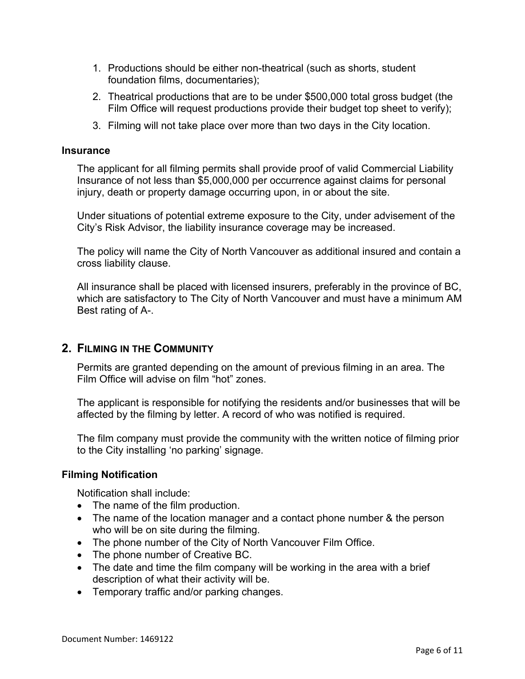- 1. Productions should be either non-theatrical (such as shorts, student foundation films, documentaries);
- 2. Theatrical productions that are to be under \$500,000 total gross budget (the Film Office will request productions provide their budget top sheet to verify);
- 3. Filming will not take place over more than two days in the City location.

#### **Insurance**

The applicant for all filming permits shall provide proof of valid Commercial Liability Insurance of not less than \$5,000,000 per occurrence against claims for personal injury, death or property damage occurring upon, in or about the site.

Under situations of potential extreme exposure to the City, under advisement of the City's Risk Advisor, the liability insurance coverage may be increased.

The policy will name the City of North Vancouver as additional insured and contain a cross liability clause.

All insurance shall be placed with licensed insurers, preferably in the province of BC, which are satisfactory to The City of North Vancouver and must have a minimum AM Best rating of A-.

## **2. FILMING IN THE COMMUNITY**

Permits are granted depending on the amount of previous filming in an area. The Film Office will advise on film "hot" zones.

The applicant is responsible for notifying the residents and/or businesses that will be affected by the filming by letter. A record of who was notified is required.

The film company must provide the community with the written notice of filming prior to the City installing 'no parking' signage.

## **Filming Notification**

Notification shall include:

- The name of the film production.
- The name of the location manager and a contact phone number & the person who will be on site during the filming.
- The phone number of the City of North Vancouver Film Office.
- The phone number of Creative BC.
- The date and time the film company will be working in the area with a brief description of what their activity will be.
- Temporary traffic and/or parking changes.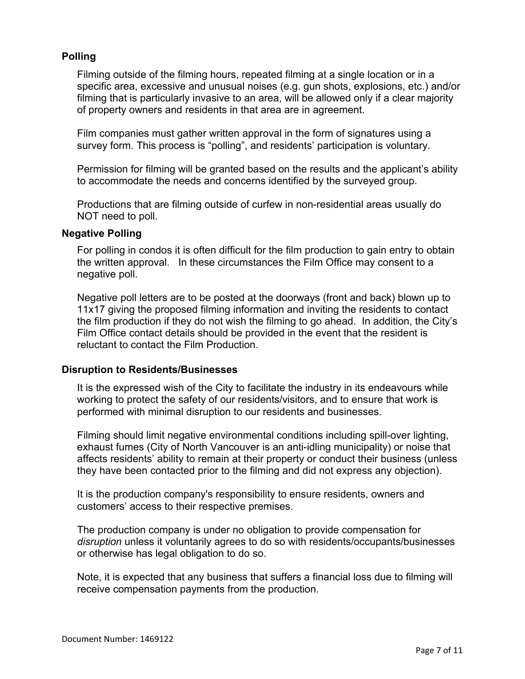## **Polling**

Filming outside of the filming hours, repeated filming at a single location or in a specific area, excessive and unusual noises (e.g. gun shots, explosions, etc.) and/or filming that is particularly invasive to an area, will be allowed only if a clear majority of property owners and residents in that area are in agreement.

Film companies must gather written approval in the form of signatures using a survey form. This process is "polling", and residents' participation is voluntary.

Permission for filming will be granted based on the results and the applicant's ability to accommodate the needs and concerns identified by the surveyed group.

Productions that are filming outside of curfew in non-residential areas usually do NOT need to poll.

#### **Negative Polling**

For polling in condos it is often difficult for the film production to gain entry to obtain the written approval. In these circumstances the Film Office may consent to a negative poll.

Negative poll letters are to be posted at the doorways (front and back) blown up to 11x17 giving the proposed filming information and inviting the residents to contact the film production if they do not wish the filming to go ahead. In addition, the City's Film Office contact details should be provided in the event that the resident is reluctant to contact the Film Production.

#### **Disruption to Residents/Businesses**

It is the expressed wish of the City to facilitate the industry in its endeavours while working to protect the safety of our residents/visitors, and to ensure that work is performed with minimal disruption to our residents and businesses.

Filming should limit negative environmental conditions including spill-over lighting, exhaust fumes (City of North Vancouver is an anti-idling municipality) or noise that affects residents' ability to remain at their property or conduct their business (unless they have been contacted prior to the filming and did not express any objection).

It is the production company's responsibility to ensure residents, owners and customers' access to their respective premises.

The production company is under no obligation to provide compensation for *disruption* unless it voluntarily agrees to do so with residents/occupants/businesses or otherwise has legal obligation to do so.

Note, it is expected that any business that suffers a financial loss due to filming will receive compensation payments from the production.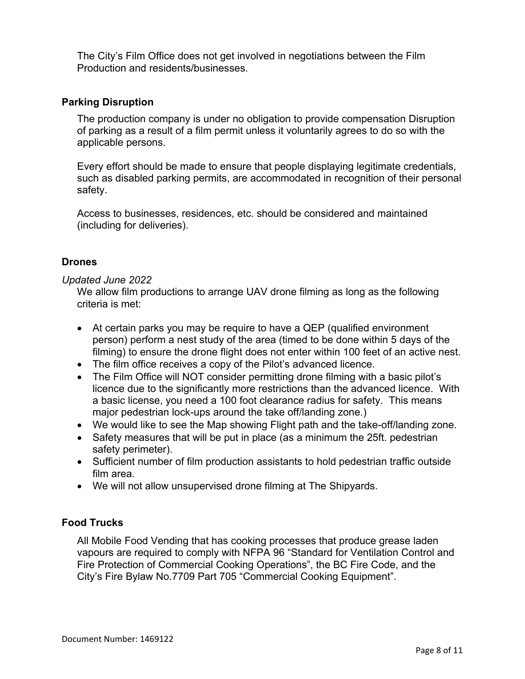The City's Film Office does not get involved in negotiations between the Film Production and residents/businesses.

#### **Parking Disruption**

The production company is under no obligation to provide compensation Disruption of parking as a result of a film permit unless it voluntarily agrees to do so with the applicable persons.

Every effort should be made to ensure that people displaying legitimate credentials, such as disabled parking permits, are accommodated in recognition of their personal safety.

Access to businesses, residences, etc. should be considered and maintained (including for deliveries).

#### **Drones**

#### *Updated June 2022*

We allow film productions to arrange UAV drone filming as long as the following criteria is met:

- At certain parks you may be require to have a QEP (qualified environment person) perform a nest study of the area (timed to be done within 5 days of the filming) to ensure the drone flight does not enter within 100 feet of an active nest.
- The film office receives a copy of the Pilot's advanced licence.
- The Film Office will NOT consider permitting drone filming with a basic pilot's licence due to the significantly more restrictions than the advanced licence. With a basic license, you need a 100 foot clearance radius for safety. This means major pedestrian lock-ups around the take off/landing zone.)
- We would like to see the Map showing Flight path and the take-off/landing zone.
- Safety measures that will be put in place (as a minimum the 25ft. pedestrian safety perimeter).
- Sufficient number of film production assistants to hold pedestrian traffic outside film area.
- We will not allow unsupervised drone filming at The Shipyards.

## **Food Trucks**

All Mobile Food Vending that has cooking processes that produce grease laden vapours are required to comply with NFPA 96 "Standard for Ventilation Control and Fire Protection of Commercial Cooking Operations", the BC Fire Code, and the City's Fire Bylaw No.7709 Part 705 "Commercial Cooking Equipment".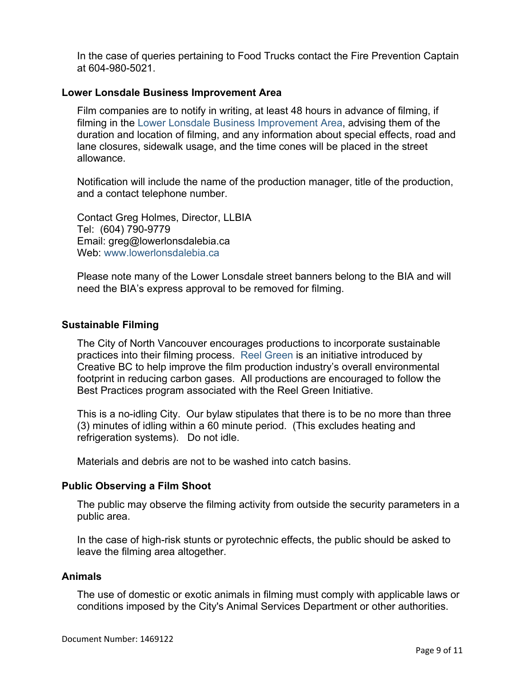In the case of queries pertaining to Food Trucks contact the Fire Prevention Captain at 604-980-5021.

#### **Lower Lonsdale Business Improvement Area**

Film companies are to notify in writing, at least 48 hours in advance of filming, if filming in the Lower Lonsdale Business Improvement Area, advising them of the duration and location of filming, and any information about special effects, road and lane closures, sidewalk usage, and the time cones will be placed in the street allowance.

Notification will include the name of the production manager, title of the production, and a contact telephone number.

Contact Greg Holmes, Director, LLBIA Tel: (604) 790-9779 Email: greg@lowerlonsdalebia.ca Web: www.lowerlonsdalebia.ca

Please note many of the Lower Lonsdale street banners belong to the BIA and will need the BIA's express approval to be removed for filming.

#### **Sustainable Filming**

The City of North Vancouver encourages productions to incorporate sustainable practices into their filming process. Reel Green is an initiative introduced by Creative BC to help improve the film production industry's overall environmental footprint in reducing carbon gases. All productions are encouraged to follow the Best Practices program associated with the Reel Green Initiative.

This is a no-idling City. Our bylaw stipulates that there is to be no more than three (3) minutes of idling within a 60 minute period. (This excludes heating and refrigeration systems). Do not idle.

Materials and debris are not to be washed into catch basins.

#### **Public Observing a Film Shoot**

The public may observe the filming activity from outside the security parameters in a public area.

In the case of high-risk stunts or pyrotechnic effects, the public should be asked to leave the filming area altogether.

#### **Animals**

The use of domestic or exotic animals in filming must comply with applicable laws or conditions imposed by the City's Animal Services Department or other authorities.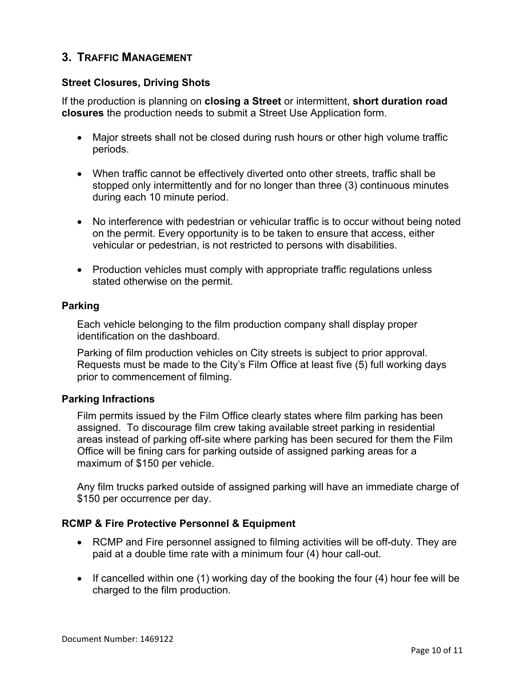# **3. TRAFFIC MANAGEMENT**

## **Street Closures, Driving Shots**

If the production is planning on **closing a Street** or intermittent, **short duration road closures** the production needs to submit a Street Use Application form.

- Major streets shall not be closed during rush hours or other high volume traffic periods.
- When traffic cannot be effectively diverted onto other streets, traffic shall be stopped only intermittently and for no longer than three (3) continuous minutes during each 10 minute period.
- No interference with pedestrian or vehicular traffic is to occur without being noted on the permit. Every opportunity is to be taken to ensure that access, either vehicular or pedestrian, is not restricted to persons with disabilities.
- Production vehicles must comply with appropriate traffic regulations unless stated otherwise on the permit.

## **Parking**

Each vehicle belonging to the film production company shall display proper identification on the dashboard.

Parking of film production vehicles on City streets is subject to prior approval. Requests must be made to the City's Film Office at least five (5) full working days prior to commencement of filming.

#### **Parking Infractions**

Film permits issued by the Film Office clearly states where film parking has been assigned. To discourage film crew taking available street parking in residential areas instead of parking off-site where parking has been secured for them the Film Office will be fining cars for parking outside of assigned parking areas for a maximum of \$150 per vehicle.

Any film trucks parked outside of assigned parking will have an immediate charge of \$150 per occurrence per day.

## **RCMP & Fire Protective Personnel & Equipment**

- RCMP and Fire personnel assigned to filming activities will be off-duty. They are paid at a double time rate with a minimum four (4) hour call-out.
- If cancelled within one (1) working day of the booking the four (4) hour fee will be charged to the film production.